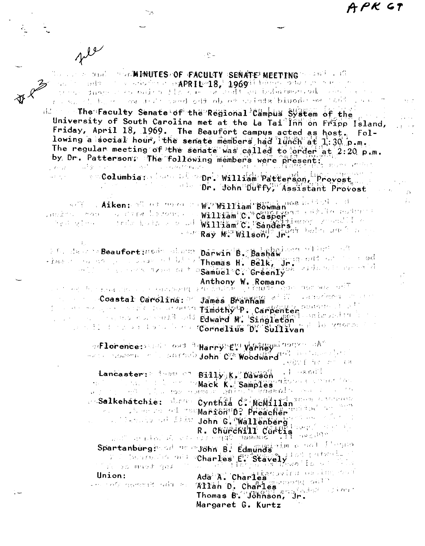PK GT

 $\sim$  10 minutes) of faculty (senate) meeting (1995)  $\sim$  10  $\pm$  $0.14\%$ below the selection of opeRID=18, 196911 below one can make  $\Delta\Delta\chi$  $\sim$  , and  $\sim$ dusing the state of the case of the state of the control of and it is seed out object wrights binodes and said.  $\mathcal{A}_1$  , and  $\mathcal{A}_2$  , and  $\mathcal{A}_3$ il The Faculty Senate of the Regional Campus System of the University of South Carolina met at the La Tai Inn on Fripp Island, Friday, April 18, 1969. The Beaufort campus acted as host, Following a social hour, the senate members had lunch at 1:30 p.m. The regular meeting of the senate was called to order at 2:20 p.m. by Dr. Patterson: The following members were present: الله المنافع الأسم والأفادة المنافعة المنافعة المنافعة المنافعة المنافعة المنافعة المنافعة المنافعة المنافعة ال n and columbiar in the second william Patterson, Provost Dr. John Duffy, Assistant Provost -15  $\mathbb{R}^{\mathbb{Z}}$  . Aiken:  $\mathbb{R}^{\mathbb{Z}}$  of mean in W. William Bowman  $\mathbb{R}^{\mathbb{Z}}$ λ.  $\frac{1}{2}$  and the contract of the second  $\frac{1}{2}$  will tam  $\mathbb{C}^{10}$  casper, . The conditions strate holds as a different will have considered and the condition 医子宫 医囊肿病 医 **For Ray M. Wilson, Jr.** Service and a service Ele da complementariede plant parwin B. Bashawiner where the -ises of the companions of big Thomas H. Belk, In. and of the cod and the second transient Samuel C. Greenly Anthony W. Romano i radio gae nombre prill 人名克兰格恩 电正常控制器 计输入文件 法自动履行财务 医群形成体质系统 人名 Coastal Carolina: " James Branham at II Janeera and the Some we give a constitution that the compensation of the state of the state of the state of the state of the state of the state of the state of the state of the state of the state of the state of the state of the state of Singleton Care and Call and Edward M. Singleton Succession in the of Lonence: Sand Covid (Harry) Est Variley dingram and were some of a grand John C. Woodward Management of 小豆のひ毛 自としたのうまめ √l ⊹ani≌ Lancaster: Edward of Billy K. Dawson ចំ<mark>ផ្សា</mark>ំងនោះ ស្រុកក្រុម (ស្រុកក្រុមព្រះ) ta 1999 - Paul Anti-Alexandria et al. 1999 - Marck Kall Samples de la constantia de la constantia de la consta<br>2010 - Paul Alexandria et al. 1999 - Paul Alexandria de la constantia de la constantia de la constantia de la an Salkehätchie: Marin Cynthia Ci McMillan The Littleton of the state of the Marion D? Preacher and today with William Lim John G. Wallenberg (1994) 1988 R. CRUPCRITI CUPERS 1999 Spartanburginsder alle by Edmunds du choi listen Ada A. Charles Contra Castillar and Union: Allan D. Charles more self - ਦਾ ਨਾਲ ਬੁਲਾਬਾਰੀ ਕਰੀਬ ਸਰ さんあぶ しょうかい Thomas B. Johnson, Jr. Margaret G. Kurtz

 $\sim$  C  $\sim$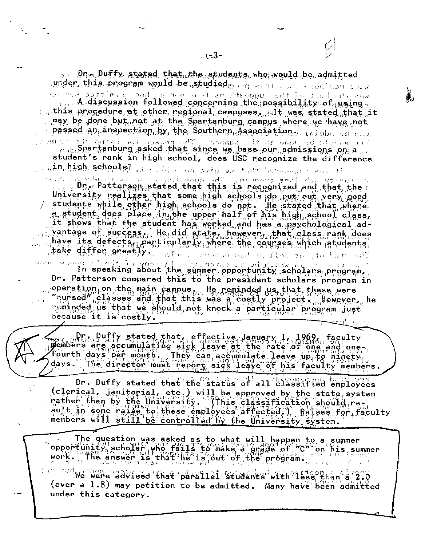of Dnon-Duffy stated that the students who would be admitted under, this program would be studied, an aint Jone concluse over we she bast immed the magnetime from our hot hor nomitted sor not A discussion followed concerning the possibility of using. in this procedure at other regional campuses,  $d$  It was stated that it amay be done but pot at the Spartanburg campus where we have not passed an inspection by the Southern Association. Indiaba ed not lar saculd be done in 1980 process. The present of the saculd the same of the same of the same of the same of the same of the same of the same of the same of the same of the same of the same of the same of the same of the student's rank in high school, does USC recognize the difference **Ain, high schools?** where the one over the total bondanger and an an electronic constants and required in the magnetic environment of the constant of the constant of the con University realizes that some high schools do put out very good

students while other high schools do not. He stated that where<br>a student does place in the upper half of his high school class, it shows that the student has worked and has a psychological adpantage of success, He did state, however, that class rank does have its defects, particularly where the courses which students take differ greatly. Even, steedy and end flow an include off

survey I'll mit the your In speaking about the summer opportunity scholars program. Dr. Patterson compared this to the president scholars program in eperation on the main campus, He reminded us that these were<br>"nursed" classes and that this was a costly project. Jewever, he sminded us that we should not knock a particular program just because it is costly.

Dr. Duffy stated that, effective January 1, 1969, faculty<br>wembers are accumulating sick leave at the rate of one and one-<br>fourth days per month. They can accumulate leave up to ninety.<br>days. The director must report sick l

Dr. Duffy stated that the status of all classified employees (clerical, janitorial, etc.) will be approved by the state system rather than by the University. "integral experience by the state system<br>sult in some raise to these employees affected.) Raises for faculty<br>members will alignate to these employees affected.) Raises for faculty members will still be controlled by the University system.

The question was asked as to what will happen to a summer<br>opportunity scholar who fails to make a orade of "C" on his summer<br>work. The answer is that he is out of the program.

we were advised that parallel students with less than a 2.0 (over a 1.8) may petition to be admitted. Many have been admitted under this category.